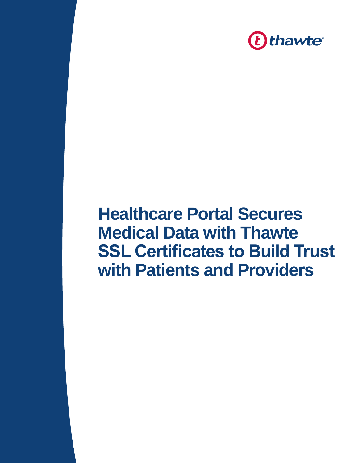

## **Healthcare Portal Secures Medical Data with Thawte SSL Certificates to Build Trust with Patients and Providers**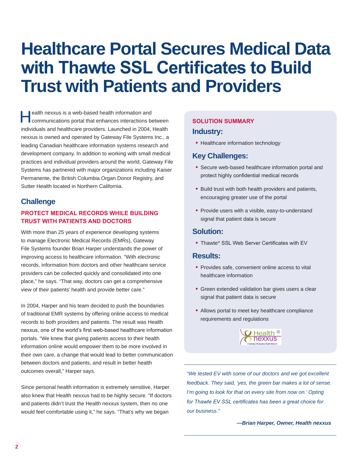# **Healthcare Portal Secures Medical Data with Thawte SSL Certificates to Build Trust with Patients and Providers**

ealth nexxus is a web-based health information and<br>communications portal that enhances interactions between individuals and healthcare providers. Launched in 2004, Health nexxus is owned and operated by Gateway File Systems Inc., a leading Canadian healthcare information systems research and development company. In addition to working with small medical practices and individual providers around the world, Gateway File Systems has partnered with major organizations including Kaiser Permanente, the British Columbia Organ Donor Registry, and Sutter Health located in Northern California.

### **Challenge**

#### **PROTECT MEDICAL RECORDS WHILE BUILDING TRUST WITH PATIENTS AND DOCTORS**

With more than 25 years of experience developing systems to manage Electronic Medical Records (EMRs), Gateway File Systems founder Brian Harper understands the power of improving access to healthcare information. "With electronic records, information from doctors and other healthcare service providers can be collected quickly and consolidated into one place," he says. "That way, doctors can get a comprehensive view of their patients' health and provide better care."

In 2004, Harper and his team decided to push the boundaries of traditional EMR systems by offering online access to medical records to both providers and patients. The result was Health nexxus, one of the world's first web-based healthcare information portals. "We knew that giving patients access to their health information online would empower them to be more involved in their own care, a change that would lead to better communication between doctors and patients, and result in better health outcomes overall," Harper says.

Since personal health information is extremely sensitive, Harper also knew that Health nexxus had to be highly secure. "If doctors and patients didn't trust the Health nexxus system, then no one would feel comfortable using it," he says. "That's why we began

### **SOLUTION SUMMARY**

#### **Industry:**

• Healthcare information technology

#### **Key Challenges:**

- Secure web-based healthcare information portal and protect highly confidential medical records
- Build trust with both health providers and patients, encouraging greater use of the portal
- Provide users with a visible, easy-to-understand signal that patient data is secure

#### **Solution:**

• Thawte® SSL Web Server Certificates with EV

#### **Results:**

- Provides safe, convenient online access to vital healthcare information
- Green extended validation bar gives users a clear signal that patient data is secure
- Allows portal to meet key healthcare compliance requirements and regulations



*"We tested EV with some of our doctors and we got excellent feedback. They said, 'yes, the green bar makes a lot of sense. I'm going to look for that on every site from now on.' Opting for Thawte EV SSL certificates has been a great choice for our business."*

*—Brian Harper, Owner, Health nexxus*